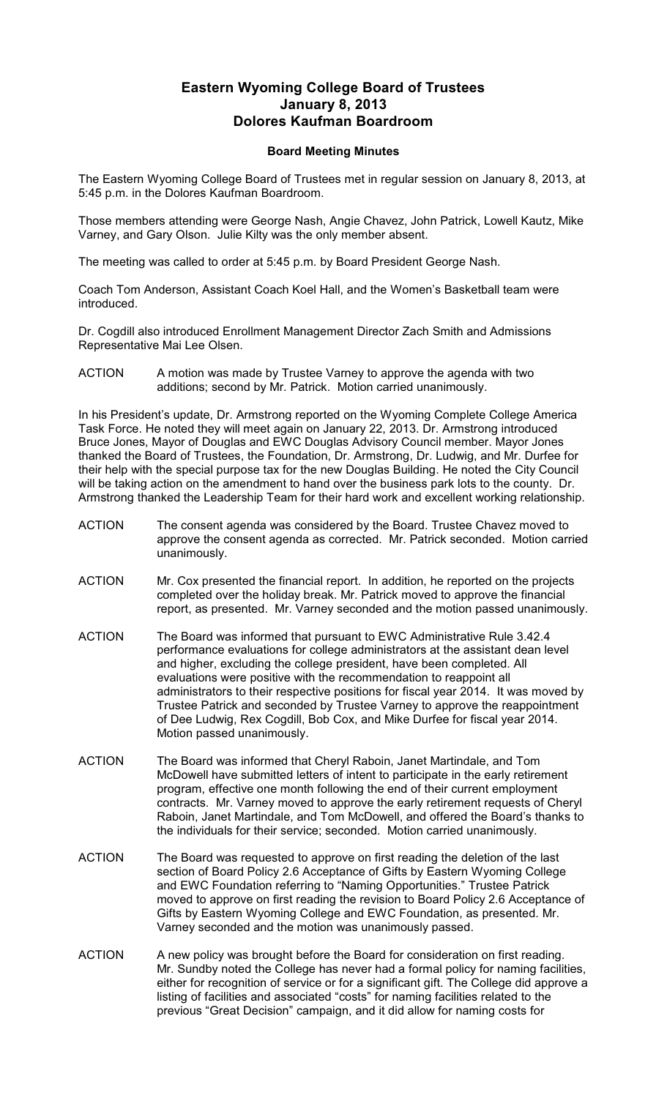## **Eastern Wyoming College Board of Trustees January 8, 2013 Dolores Kaufman Boardroom**

## **Board Meeting Minutes**

The Eastern Wyoming College Board of Trustees met in regular session on January 8, 2013, at 5:45 p.m. in the Dolores Kaufman Boardroom.

Those members attending were George Nash, Angie Chavez, John Patrick, Lowell Kautz, Mike Varney, and Gary Olson. Julie Kilty was the only member absent.

The meeting was called to order at 5:45 p.m. by Board President George Nash.

Coach Tom Anderson, Assistant Coach Koel Hall, and the Women's Basketball team were introduced.

Dr. Cogdill also introduced Enrollment Management Director Zach Smith and Admissions Representative Mai Lee Olsen.

ACTION A motion was made by Trustee Varney to approve the agenda with two additions; second by Mr. Patrick. Motion carried unanimously.

In his President's update, Dr. Armstrong reported on the Wyoming Complete College America Task Force. He noted they will meet again on January 22, 2013. Dr. Armstrong introduced Bruce Jones, Mayor of Douglas and EWC Douglas Advisory Council member. Mayor Jones thanked the Board of Trustees, the Foundation, Dr. Armstrong, Dr. Ludwig, and Mr. Durfee for their help with the special purpose tax for the new Douglas Building. He noted the City Council will be taking action on the amendment to hand over the business park lots to the county. Dr. Armstrong thanked the Leadership Team for their hard work and excellent working relationship.

- ACTION The consent agenda was considered by the Board. Trustee Chavez moved to approve the consent agenda as corrected. Mr. Patrick seconded. Motion carried unanimously.
- ACTION Mr. Cox presented the financial report. In addition, he reported on the projects completed over the holiday break. Mr. Patrick moved to approve the financial report, as presented. Mr. Varney seconded and the motion passed unanimously.
- ACTION The Board was informed that pursuant to EWC Administrative Rule 3.42.4 performance evaluations for college administrators at the assistant dean level and higher, excluding the college president, have been completed. All evaluations were positive with the recommendation to reappoint all administrators to their respective positions for fiscal year 2014. It was moved by Trustee Patrick and seconded by Trustee Varney to approve the reappointment of Dee Ludwig, Rex Cogdill, Bob Cox, and Mike Durfee for fiscal year 2014. Motion passed unanimously.
- ACTION The Board was informed that Cheryl Raboin, Janet Martindale, and Tom McDowell have submitted letters of intent to participate in the early retirement program, effective one month following the end of their current employment contracts. Mr. Varney moved to approve the early retirement requests of Cheryl Raboin, Janet Martindale, and Tom McDowell, and offered the Board's thanks to the individuals for their service; seconded. Motion carried unanimously.
- ACTION The Board was requested to approve on first reading the deletion of the last section of Board Policy 2.6 Acceptance of Gifts by Eastern Wyoming College and EWC Foundation referring to "Naming Opportunities." Trustee Patrick moved to approve on first reading the revision to Board Policy 2.6 Acceptance of Gifts by Eastern Wyoming College and EWC Foundation, as presented. Mr. Varney seconded and the motion was unanimously passed.
- ACTION A new policy was brought before the Board for consideration on first reading. Mr. Sundby noted the College has never had a formal policy for naming facilities, either for recognition of service or for a significant gift. The College did approve a listing of facilities and associated "costs" for naming facilities related to the previous "Great Decision" campaign, and it did allow for naming costs for